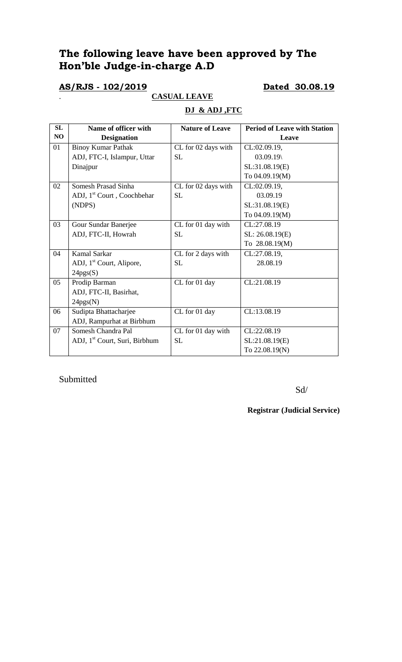# **The following leave have been approved by The Hon'ble Judge-in-charge A.D**

### **AS/RJS - 102/2019 Dated 30.08.19**

. **CASUAL LEAVE**

# **DJ & ADJ ,FTC**

| SL | Name of officer with                      | <b>Nature of Leave</b> | <b>Period of Leave with Station</b> |
|----|-------------------------------------------|------------------------|-------------------------------------|
| NO | <b>Designation</b>                        |                        | Leave                               |
| 01 | <b>Binoy Kumar Pathak</b>                 | CL for 02 days with    | CL:02.09.19,                        |
|    | ADJ, FTC-I, Islampur, Uttar               | <b>SL</b>              | 03.09.19                            |
|    | Dinajpur                                  |                        | SL:31.08.19(E)                      |
|    |                                           |                        | To 04.09.19(M)                      |
| 02 | Somesh Prasad Sinha                       | CL for 02 days with    | CL:02.09.19,                        |
|    | ADJ, 1 <sup>st</sup> Court, Coochbehar    | <b>SL</b>              | 03.09.19                            |
|    | (NDPS)                                    |                        | SL:31.08.19(E)                      |
|    |                                           |                        | To 04.09.19(M)                      |
| 03 | Gour Sundar Banerjee                      | CL for 01 day with     | CL:27.08.19                         |
|    | ADJ, FTC-II, Howrah                       | <b>SL</b>              | SL: 26.08.19(E)                     |
|    |                                           |                        | To 28.08.19(M)                      |
| 04 | Kamal Sarkar                              | CL for 2 days with     | CL:27.08.19,                        |
|    | ADJ, 1 <sup>st</sup> Court, Alipore,      | <b>SL</b>              | 28.08.19                            |
|    | 24pgs(S)                                  |                        |                                     |
| 05 | Prodip Barman                             | CL for 01 day          | CL:21.08.19                         |
|    | ADJ, FTC-II, Basirhat,                    |                        |                                     |
|    | 24pgs(N)                                  |                        |                                     |
| 06 | Sudipta Bhattacharjee                     | CL for 01 day          | CL:13.08.19                         |
|    | ADJ, Rampurhat at Birbhum                 |                        |                                     |
| 07 | Somesh Chandra Pal                        | CL for 01 day with     | CL:22.08.19                         |
|    | ADJ, 1 <sup>st</sup> Court, Suri, Birbhum | <b>SL</b>              | SL:21.08.19(E)                      |
|    |                                           |                        | To 22.08.19(N)                      |

Submitted

Sd/

**Registrar (Judicial Service)**